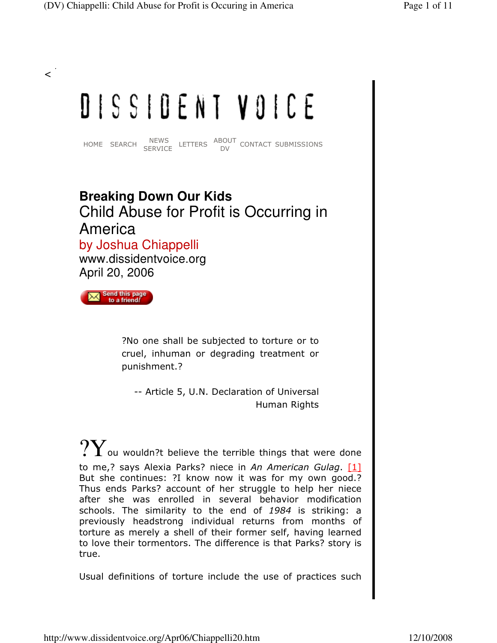# DISSIDENT VOICE

HOME SEARCH NEWS LETTERS ABOUT CONTACT SUBMISSIONS

# **Breaking Down Our Kids** Child Abuse for Profit is Occurring in America by Joshua Chiappelli

www.dissidentvoice.org April 20, 2006

Send this page to a friend!

 $\prec$ 

?No one shall be subjected to torture or to cruel, inhuman or degrading treatment or punishment.?

-- Article 5, U.N. Declaration of Universal Human Rights

 $\mathrm{?Y}$  ou wouldn?t believe the terrible things that were done to me,? says Alexia Parks? niece in An American Gulag.  $[1]$ But she continues: ?I know now it was for my own good.? Thus ends Parks? account of her struggle to help her niece after she was enrolled in several behavior modification schools. The similarity to the end of 1984 is striking: a previously headstrong individual returns from months of torture as merely a shell of their former self, having learned to love their tormentors. The difference is that Parks? story is true.

Usual definitions of torture include the use of practices such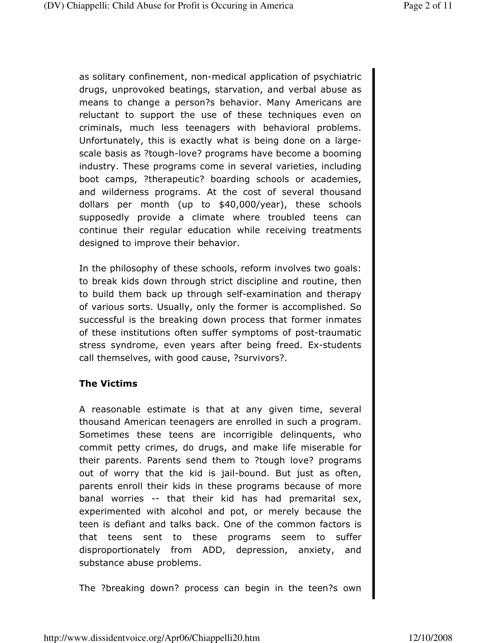as solitary confinement, non-medical application of psychiatric drugs, unprovoked beatings, starvation, and verbal abuse as means to change a person?s behavior. Many Americans are reluctant to support the use of these techniques even on criminals, much less teenagers with behavioral problems. Unfortunately, this is exactly what is being done on a largescale basis as ?tough-love? programs have become a booming industry. These programs come in several varieties, including boot camps, ?therapeutic? boarding schools or academies, and wilderness programs. At the cost of several thousand dollars per month (up to \$40,000/year), these schools supposedly provide a climate where troubled teens can continue their regular education while receiving treatments designed to improve their behavior.

In the philosophy of these schools, reform involves two goals: to break kids down through strict discipline and routine, then to build them back up through self-examination and therapy of various sorts. Usually, only the former is accomplished. So successful is the breaking down process that former inmates of these institutions often suffer symptoms of post-traumatic stress syndrome, even years after being freed. Ex-students call themselves, with good cause, ?survivors?.

#### The Victims

A reasonable estimate is that at any given time, several thousand American teenagers are enrolled in such a program. Sometimes these teens are incorrigible delinquents, who commit petty crimes, do drugs, and make life miserable for their parents. Parents send them to ?tough love? programs out of worry that the kid is jail-bound. But just as often, parents enroll their kids in these programs because of more banal worries -- that their kid has had premarital sex, experimented with alcohol and pot, or merely because the teen is defiant and talks back. One of the common factors is that teens sent to these programs seem to suffer disproportionately from ADD, depression, anxiety, and substance abuse problems.

The ?breaking down? process can begin in the teen?s own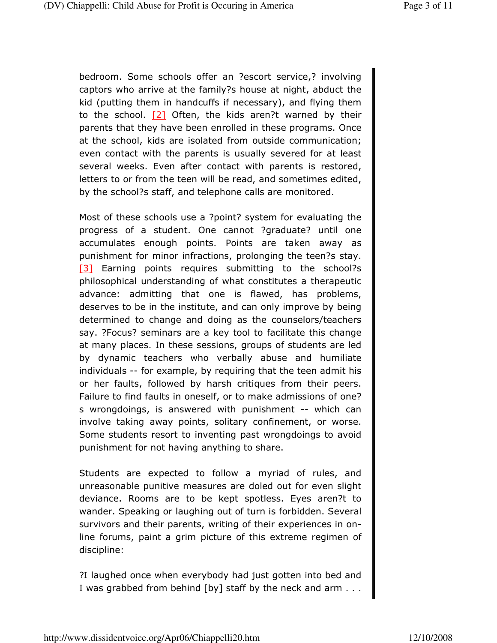bedroom. Some schools offer an ?escort service,? involving captors who arrive at the family?s house at night, abduct the kid (putting them in handcuffs if necessary), and flying them to the school.  $[2]$  Often, the kids aren?t warned by their parents that they have been enrolled in these programs. Once at the school, kids are isolated from outside communication; even contact with the parents is usually severed for at least several weeks. Even after contact with parents is restored, letters to or from the teen will be read, and sometimes edited, by the school?s staff, and telephone calls are monitored.

Most of these schools use a ?point? system for evaluating the progress of a student. One cannot ?graduate? until one accumulates enough points. Points are taken away as punishment for minor infractions, prolonging the teen?s stay. [3] Earning points requires submitting to the school?s philosophical understanding of what constitutes a therapeutic advance: admitting that one is flawed, has problems, deserves to be in the institute, and can only improve by being determined to change and doing as the counselors/teachers say. ?Focus? seminars are a key tool to facilitate this change at many places. In these sessions, groups of students are led by dynamic teachers who verbally abuse and humiliate individuals -- for example, by requiring that the teen admit his or her faults, followed by harsh critiques from their peers. Failure to find faults in oneself, or to make admissions of one? s wrongdoings, is answered with punishment -- which can involve taking away points, solitary confinement, or worse. Some students resort to inventing past wrongdoings to avoid punishment for not having anything to share.

Students are expected to follow a myriad of rules, and unreasonable punitive measures are doled out for even slight deviance. Rooms are to be kept spotless. Eyes aren?t to wander. Speaking or laughing out of turn is forbidden. Several survivors and their parents, writing of their experiences in online forums, paint a grim picture of this extreme regimen of discipline:

?I laughed once when everybody had just gotten into bed and I was grabbed from behind [by] staff by the neck and arm . . .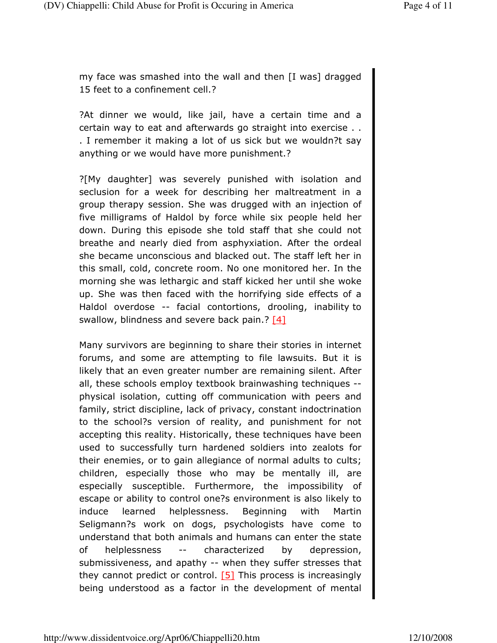my face was smashed into the wall and then [I was] dragged 15 feet to a confinement cell.?

?At dinner we would, like jail, have a certain time and a certain way to eat and afterwards go straight into exercise . . . I remember it making a lot of us sick but we wouldn?t say anything or we would have more punishment.?

?[My daughter] was severely punished with isolation and seclusion for a week for describing her maltreatment in a group therapy session. She was drugged with an injection of five milligrams of Haldol by force while six people held her down. During this episode she told staff that she could not breathe and nearly died from asphyxiation. After the ordeal she became unconscious and blacked out. The staff left her in this small, cold, concrete room. No one monitored her. In the morning she was lethargic and staff kicked her until she woke up. She was then faced with the horrifying side effects of a Haldol overdose -- facial contortions, drooling, inability to swallow, blindness and severe back pain.?  $[4]$ 

Many survivors are beginning to share their stories in internet forums, and some are attempting to file lawsuits. But it is likely that an even greater number are remaining silent. After all, these schools employ textbook brainwashing techniques - physical isolation, cutting off communication with peers and family, strict discipline, lack of privacy, constant indoctrination to the school?s version of reality, and punishment for not accepting this reality. Historically, these techniques have been used to successfully turn hardened soldiers into zealots for their enemies, or to gain allegiance of normal adults to cults; children, especially those who may be mentally ill, are especially susceptible. Furthermore, the impossibility of escape or ability to control one?s environment is also likely to induce learned helplessness. Beginning with Martin Seligmann?s work on dogs, psychologists have come to understand that both animals and humans can enter the state of helplessness -- characterized by depression, submissiveness, and apathy -- when they suffer stresses that they cannot predict or control.  $[5]$  This process is increasingly being understood as a factor in the development of mental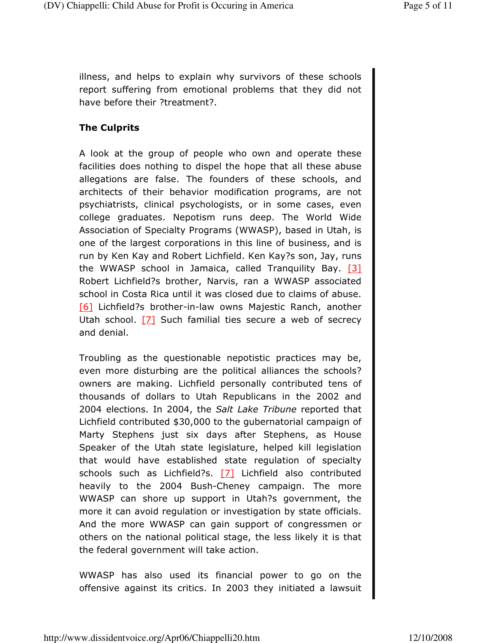illness, and helps to explain why survivors of these schools report suffering from emotional problems that they did not have before their ?treatment?.

### The Culprits

A look at the group of people who own and operate these facilities does nothing to dispel the hope that all these abuse allegations are false. The founders of these schools, and architects of their behavior modification programs, are not psychiatrists, clinical psychologists, or in some cases, even college graduates. Nepotism runs deep. The World Wide Association of Specialty Programs (WWASP), based in Utah, is one of the largest corporations in this line of business, and is run by Ken Kay and Robert Lichfield. Ken Kay?s son, Jay, runs the WWASP school in Jamaica, called Tranquility Bay.  $[3]$ Robert Lichfield?s brother, Narvis, ran a WWASP associated school in Costa Rica until it was closed due to claims of abuse. [6] Lichfield?s brother-in-law owns Majestic Ranch, another Utah school.  $[7]$  Such familial ties secure a web of secrecy and denial.

Troubling as the questionable nepotistic practices may be, even more disturbing are the political alliances the schools? owners are making. Lichfield personally contributed tens of thousands of dollars to Utah Republicans in the 2002 and 2004 elections. In 2004, the Salt Lake Tribune reported that Lichfield contributed \$30,000 to the gubernatorial campaign of Marty Stephens just six days after Stephens, as House Speaker of the Utah state legislature, helped kill legislation that would have established state regulation of specialty schools such as Lichfield?s. [7] Lichfield also contributed heavily to the 2004 Bush-Cheney campaign. The more WWASP can shore up support in Utah?s government, the more it can avoid regulation or investigation by state officials. And the more WWASP can gain support of congressmen or others on the national political stage, the less likely it is that the federal government will take action.

WWASP has also used its financial power to go on the offensive against its critics. In 2003 they initiated a lawsuit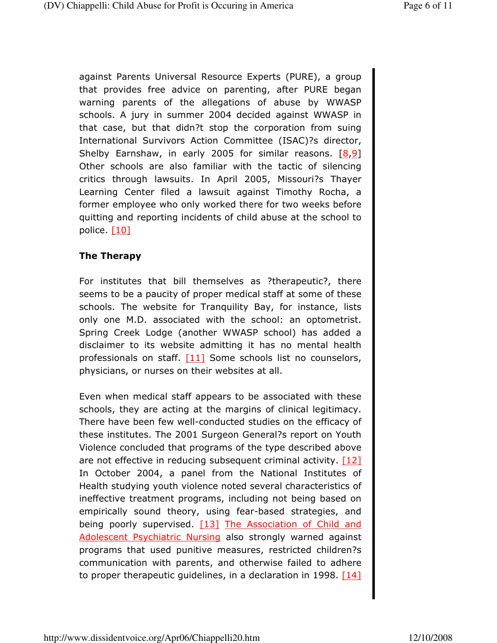against Parents Universal Resource Experts (PURE), a group that provides free advice on parenting, after PURE began warning parents of the allegations of abuse by WWASP schools. A jury in summer 2004 decided against WWASP in that case, but that didn?t stop the corporation from suing International Survivors Action Committee (ISAC)?s director, Shelby Earnshaw, in early 2005 for similar reasons. [8,9] Other schools are also familiar with the tactic of silencing critics through lawsuits. In April 2005, Missouri?s Thayer Learning Center filed a lawsuit against Timothy Rocha, a former employee who only worked there for two weeks before quitting and reporting incidents of child abuse at the school to police. [10]

#### The Therapy

For institutes that bill themselves as ?therapeutic?, there seems to be a paucity of proper medical staff at some of these schools. The website for Tranquility Bay, for instance, lists only one M.D. associated with the school: an optometrist. Spring Creek Lodge (another WWASP school) has added a disclaimer to its website admitting it has no mental health professionals on staff. [11] Some schools list no counselors, physicians, or nurses on their websites at all.

Even when medical staff appears to be associated with these schools, they are acting at the margins of clinical legitimacy. There have been few well-conducted studies on the efficacy of these institutes. The 2001 Surgeon General?s report on Youth Violence concluded that programs of the type described above are not effective in reducing subsequent criminal activity. [12] In October 2004, a panel from the National Institutes of Health studying youth violence noted several characteristics of ineffective treatment programs, including not being based on empirically sound theory, using fear-based strategies, and being poorly supervised. [13] The Association of Child and Adolescent Psychiatric Nursing also strongly warned against programs that used punitive measures, restricted children?s communication with parents, and otherwise failed to adhere to proper therapeutic guidelines, in a declaration in 1998.  $[14]$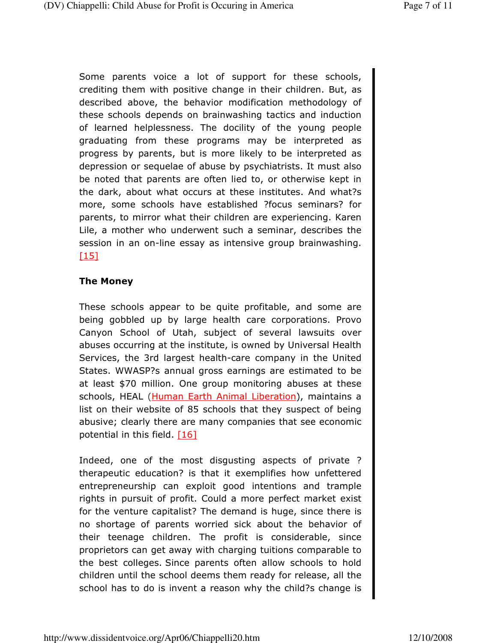Some parents voice a lot of support for these schools, crediting them with positive change in their children. But, as described above, the behavior modification methodology of these schools depends on brainwashing tactics and induction of learned helplessness. The docility of the young people graduating from these programs may be interpreted as progress by parents, but is more likely to be interpreted as depression or sequelae of abuse by psychiatrists. It must also be noted that parents are often lied to, or otherwise kept in the dark, about what occurs at these institutes. And what?s more, some schools have established ?focus seminars? for parents, to mirror what their children are experiencing. Karen Lile, a mother who underwent such a seminar, describes the session in an on-line essay as intensive group brainwashing.  $[15]$ 

#### The Money

These schools appear to be quite profitable, and some are being gobbled up by large health care corporations. Provo Canyon School of Utah, subject of several lawsuits over abuses occurring at the institute, is owned by Universal Health Services, the 3rd largest health-care company in the United States. WWASP?s annual gross earnings are estimated to be at least \$70 million. One group monitoring abuses at these schools, HEAL (Human Earth Animal Liberation), maintains a list on their website of 85 schools that they suspect of being abusive; clearly there are many companies that see economic potential in this field. [16]

Indeed, one of the most disgusting aspects of private ? therapeutic education? is that it exemplifies how unfettered entrepreneurship can exploit good intentions and trample rights in pursuit of profit. Could a more perfect market exist for the venture capitalist? The demand is huge, since there is no shortage of parents worried sick about the behavior of their teenage children. The profit is considerable, since proprietors can get away with charging tuitions comparable to the best colleges. Since parents often allow schools to hold children until the school deems them ready for release, all the school has to do is invent a reason why the child?s change is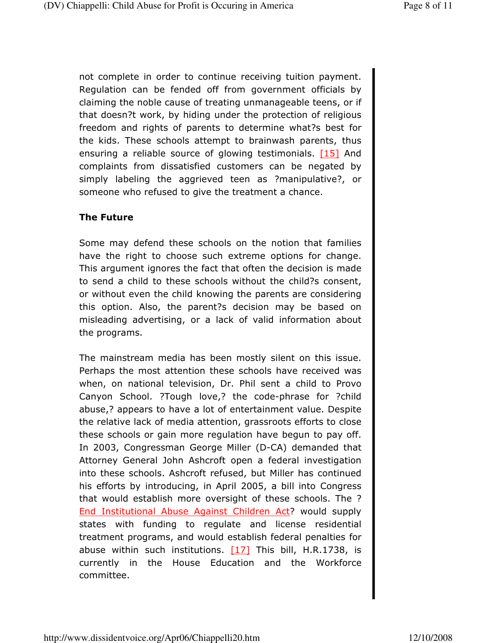not complete in order to continue receiving tuition payment. Regulation can be fended off from government officials by claiming the noble cause of treating unmanageable teens, or if that doesn?t work, by hiding under the protection of religious freedom and rights of parents to determine what?s best for the kids. These schools attempt to brainwash parents, thus ensuring a reliable source of glowing testimonials.  $[15]$  And complaints from dissatisfied customers can be negated by simply labeling the aggrieved teen as ?manipulative?, or someone who refused to give the treatment a chance.

#### The Future

Some may defend these schools on the notion that families have the right to choose such extreme options for change. This argument ignores the fact that often the decision is made to send a child to these schools without the child?s consent, or without even the child knowing the parents are considering this option. Also, the parent?s decision may be based on misleading advertising, or a lack of valid information about the programs.

The mainstream media has been mostly silent on this issue. Perhaps the most attention these schools have received was when, on national television, Dr. Phil sent a child to Provo Canyon School. ?Tough love,? the code-phrase for ?child abuse,? appears to have a lot of entertainment value. Despite the relative lack of media attention, grassroots efforts to close these schools or gain more regulation have begun to pay off. In 2003, Congressman George Miller (D-CA) demanded that Attorney General John Ashcroft open a federal investigation into these schools. Ashcroft refused, but Miller has continued his efforts by introducing, in April 2005, a bill into Congress that would establish more oversight of these schools. The ? End Institutional Abuse Against Children Act? would supply states with funding to regulate and license residential treatment programs, and would establish federal penalties for abuse within such institutions.  $[17]$  This bill, H.R.1738, is currently in the House Education and the Workforce committee.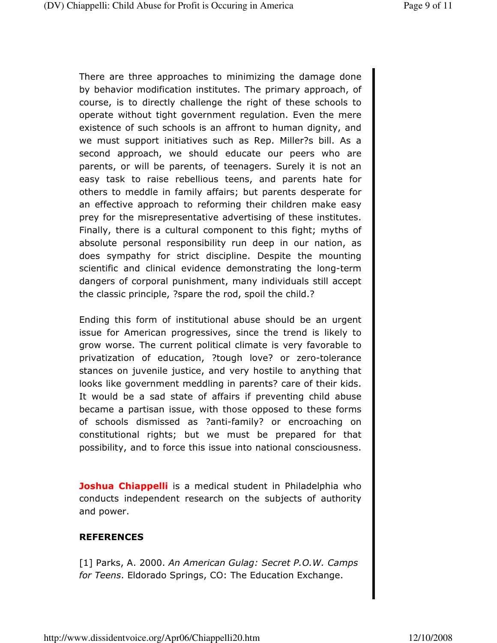There are three approaches to minimizing the damage done by behavior modification institutes. The primary approach, of course, is to directly challenge the right of these schools to operate without tight government regulation. Even the mere existence of such schools is an affront to human dignity, and we must support initiatives such as Rep. Miller?s bill. As a second approach, we should educate our peers who are parents, or will be parents, of teenagers. Surely it is not an easy task to raise rebellious teens, and parents hate for others to meddle in family affairs; but parents desperate for an effective approach to reforming their children make easy prey for the misrepresentative advertising of these institutes. Finally, there is a cultural component to this fight; myths of absolute personal responsibility run deep in our nation, as does sympathy for strict discipline. Despite the mounting scientific and clinical evidence demonstrating the long-term dangers of corporal punishment, many individuals still accept the classic principle, ?spare the rod, spoil the child.?

Ending this form of institutional abuse should be an urgent issue for American progressives, since the trend is likely to grow worse. The current political climate is very favorable to privatization of education, ?tough love? or zero-tolerance stances on juvenile justice, and very hostile to anything that looks like government meddling in parents? care of their kids. It would be a sad state of affairs if preventing child abuse became a partisan issue, with those opposed to these forms of schools dismissed as ?anti-family? or encroaching on constitutional rights; but we must be prepared for that possibility, and to force this issue into national consciousness.

**Joshua Chiappelli** is a medical student in Philadelphia who conducts independent research on the subjects of authority and power.

#### **REFERENCES**

[1] Parks, A. 2000. An American Gulag: Secret P.O.W. Camps for Teens. Eldorado Springs, CO: The Education Exchange.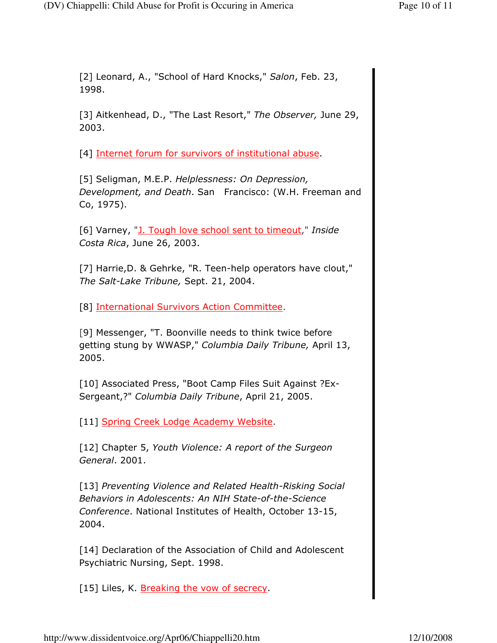[2] Leonard, A., "School of Hard Knocks," Salon, Feb. 23, 1998.

[3] Aitkenhead, D., "The Last Resort," The Observer, June 29, 2003.

[4] Internet forum for survivors of institutional abuse.

[5] Seligman, M.E.P. Helplessness: On Depression, Development, and Death. San Francisco: (W.H. Freeman and Co, 1975).

[6] Varney, "J. Tough love school sent to timeout," Inside Costa Rica, June 26, 2003.

[7] Harrie,D. & Gehrke, "R. Teen-help operators have clout," The Salt-Lake Tribune, Sept. 21, 2004.

[8] International Survivors Action Committee.

[9] Messenger, "T. Boonville needs to think twice before getting stung by WWASP," Columbia Daily Tribune, April 13, 2005.

[10] Associated Press, "Boot Camp Files Suit Against ?Ex-Sergeant,?" Columbia Daily Tribune, April 21, 2005.

[11] Spring Creek Lodge Academy Website.

[12] Chapter 5, Youth Violence: A report of the Surgeon General. 2001.

[13] Preventing Violence and Related Health-Risking Social Behaviors in Adolescents: An NIH State-of-the-Science Conference. National Institutes of Health, October 13-15, 2004.

[14] Declaration of the Association of Child and Adolescent Psychiatric Nursing, Sept. 1998.

[15] Liles, K. Breaking the vow of secrecy.